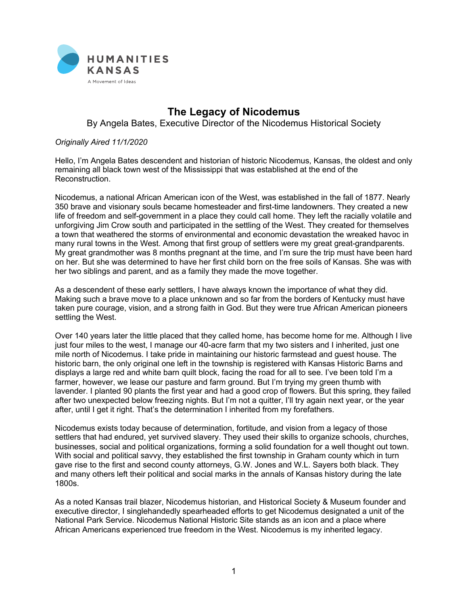

## **The Legacy of Nicodemus**

By Angela Bates, Executive Director of the Nicodemus Historical Society

## *Originally Aired 11/1/2020*

Hello, I'm Angela Bates descendent and historian of historic Nicodemus, Kansas, the oldest and only remaining all black town west of the Mississippi that was established at the end of the Reconstruction.

Nicodemus, a national African American icon of the West, was established in the fall of 1877. Nearly 350 brave and visionary souls became homesteader and first-time landowners. They created a new life of freedom and self-government in a place they could call home. They left the racially volatile and unforgiving Jim Crow south and participated in the settling of the West. They created for themselves a town that weathered the storms of environmental and economic devastation the wreaked havoc in many rural towns in the West. Among that first group of settlers were my great great-grandparents. My great grandmother was 8 months pregnant at the time, and I'm sure the trip must have been hard on her. But she was determined to have her first child born on the free soils of Kansas. She was with her two siblings and parent, and as a family they made the move together.

As a descendent of these early settlers, I have always known the importance of what they did. Making such a brave move to a place unknown and so far from the borders of Kentucky must have taken pure courage, vision, and a strong faith in God. But they were true African American pioneers settling the West.

Over 140 years later the little placed that they called home, has become home for me. Although I live just four miles to the west, I manage our 40-acre farm that my two sisters and I inherited, just one mile north of Nicodemus. I take pride in maintaining our historic farmstead and guest house. The historic barn, the only original one left in the township is registered with Kansas Historic Barns and displays a large red and white barn quilt block, facing the road for all to see. I've been told I'm a farmer, however, we lease our pasture and farm ground. But I'm trying my green thumb with lavender. I planted 90 plants the first year and had a good crop of flowers. But this spring, they failed after two unexpected below freezing nights. But I'm not a quitter, I'll try again next year, or the year after, until I get it right. That's the determination I inherited from my forefathers.

Nicodemus exists today because of determination, fortitude, and vision from a legacy of those settlers that had endured, yet survived slavery. They used their skills to organize schools, churches, businesses, social and political organizations, forming a solid foundation for a well thought out town. With social and political savvy, they established the first township in Graham county which in turn gave rise to the first and second county attorneys, G.W. Jones and W.L. Sayers both black. They and many others left their political and social marks in the annals of Kansas history during the late 1800s.

As a noted Kansas trail blazer, Nicodemus historian, and Historical Society & Museum founder and executive director, I singlehandedly spearheaded efforts to get Nicodemus designated a unit of the National Park Service. Nicodemus National Historic Site stands as an icon and a place where African Americans experienced true freedom in the West. Nicodemus is my inherited legacy.